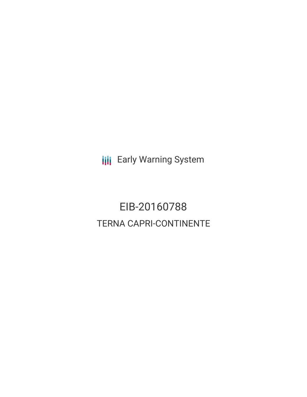**III** Early Warning System

EIB-20160788 TERNA CAPRI-CONTINENTE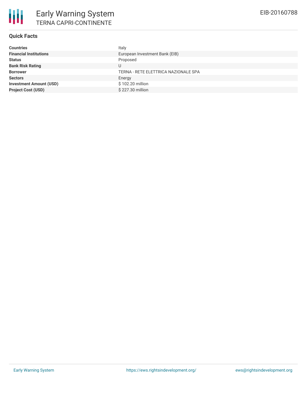

# **Quick Facts**

| <b>Countries</b>               | Italy                                |
|--------------------------------|--------------------------------------|
| <b>Financial Institutions</b>  | European Investment Bank (EIB)       |
| <b>Status</b>                  | Proposed                             |
| <b>Bank Risk Rating</b>        |                                      |
| <b>Borrower</b>                | TERNA - RETE ELETTRICA NAZIONALE SPA |
| <b>Sectors</b>                 | Energy                               |
| <b>Investment Amount (USD)</b> | \$102.20 million                     |
| <b>Project Cost (USD)</b>      | \$227.30 million                     |
|                                |                                      |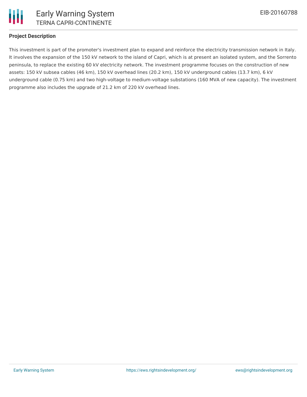

## **Project Description**

This investment is part of the promoter's investment plan to expand and reinforce the electricity transmission network in Italy. It involves the expansion of the 150 kV network to the island of Capri, which is at present an isolated system, and the Sorrento peninsula, to replace the existing 60 kV electricity network. The investment programme focuses on the construction of new assets: 150 kV subsea cables (46 km), 150 kV overhead lines (20.2 km), 150 kV underground cables (13.7 km), 6 kV underground cable (0.75 km) and two high-voltage to medium-voltage substations (160 MVA of new capacity). The investment programme also includes the upgrade of 21.2 km of 220 kV overhead lines.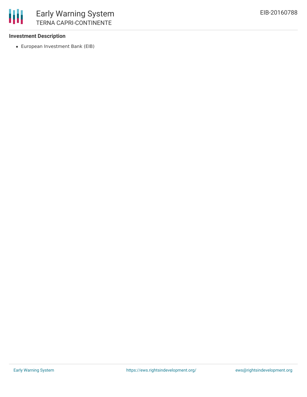

## **Investment Description**

European Investment Bank (EIB)